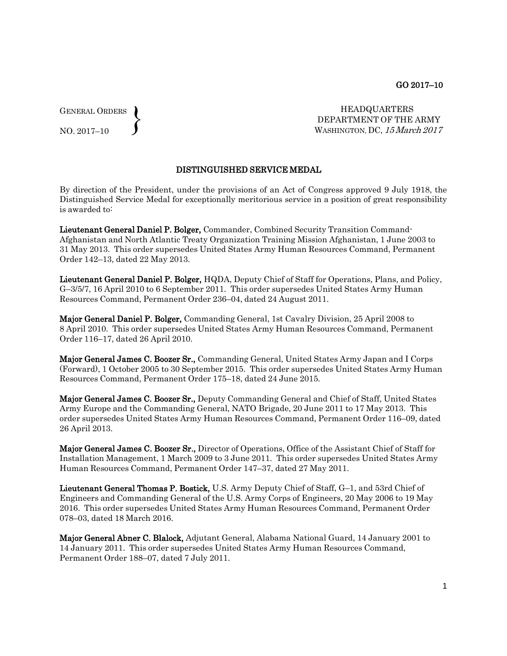GENERAL ORDERS  $\left\{ \right\}$ 

NO. 2017–10

HEADQUARTERS DEPARTMENT OF THE ARMY WASHINGTON, DC, 15March 2017

## DISTINGUISHED SERVICE MEDAL

By direction of the President, under the provisions of an Act of Congress approved 9 July 1918, the Distinguished Service Medal for exceptionally meritorious service in a position of great responsibility is awarded to:

Lieutenant General Daniel P. Bolger, Commander, Combined Security Transition Command-Afghanistan and North Atlantic Treaty Organization Training Mission Afghanistan, 1 June 2003 to 31 May 2013. This order supersedes United States Army Human Resources Command, Permanent Order 142–13, dated 22 May 2013.

Lieutenant General Daniel P. Bolger, HQDA, Deputy Chief of Staff for Operations, Plans, and Policy, G–3/5/7, 16 April 2010 to 6 September 2011. This order supersedes United States Army Human Resources Command, Permanent Order 236–04, dated 24 August 2011.

Major General Daniel P. Bolger, Commanding General, 1st Cavalry Division, 25 April 2008 to 8 April 2010. This order supersedes United States Army Human Resources Command, Permanent Order 116–17, dated 26 April 2010.

Major General James C. Boozer Sr., Commanding General, United States Army Japan and I Corps (Forward), 1 October 2005 to 30 September 2015. This order supersedes United States Army Human Resources Command, Permanent Order 175–18, dated 24 June 2015.

Major General James C. Boozer Sr., Deputy Commanding General and Chief of Staff, United States Army Europe and the Commanding General, NATO Brigade, 20 June 2011 to 17 May 2013. This order supersedes United States Army Human Resources Command, Permanent Order 116–09, dated 26 April 2013.

Major General James C. Boozer Sr., Director of Operations, Office of the Assistant Chief of Staff for Installation Management, 1 March 2009 to 3 June 2011. This order supersedes United States Army Human Resources Command, Permanent Order 147–37, dated 27 May 2011.

Lieutenant General Thomas P. Bostick, U.S. Army Deputy Chief of Staff, G–1, and 53rd Chief of Engineers and Commanding General of the U.S. Army Corps of Engineers, 20 May 2006 to 19 May 2016. This order supersedes United States Army Human Resources Command, Permanent Order 078–03, dated 18 March 2016.

Major General Abner C. Blalock, Adjutant General, Alabama National Guard, 14 January 2001 to 14 January 2011. This order supersedes United States Army Human Resources Command, Permanent Order 188–07, dated 7 July 2011.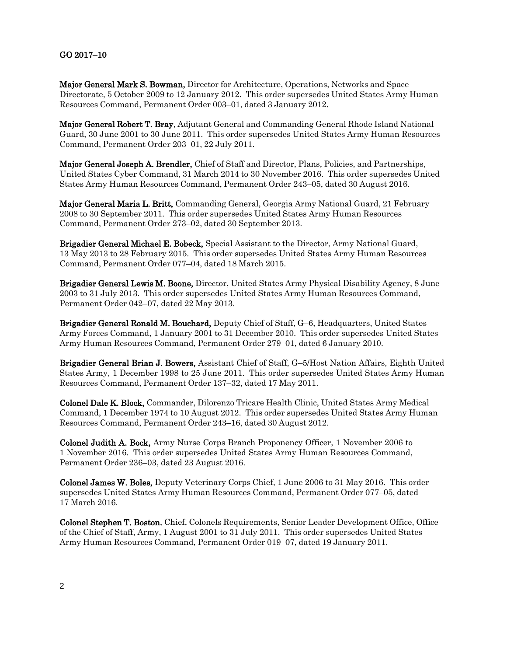## GO 2017–10

Major General Mark S. Bowman, Director for Architecture, Operations, Networks and Space Directorate, 5 October 2009 to 12 January 2012. This order supersedes United States Army Human Resources Command, Permanent Order 003–01, dated 3 January 2012.

Major General Robert T. Bray, Adjutant General and Commanding General Rhode Island National Guard, 30 June 2001 to 30 June 2011. This order supersedes United States Army Human Resources Command, Permanent Order 203–01, 22 July 2011.

Major General Joseph A. Brendler, Chief of Staff and Director, Plans, Policies, and Partnerships, United States Cyber Command, 31 March 2014 to 30 November 2016. This order supersedes United States Army Human Resources Command, Permanent Order 243–05, dated 30 August 2016.

Major General Maria L. Britt, Commanding General, Georgia Army National Guard, 21 February 2008 to 30 September 2011. This order supersedes United States Army Human Resources Command, Permanent Order 273–02, dated 30 September 2013.

Brigadier General Michael E. Bobeck, Special Assistant to the Director, Army National Guard, 13 May 2013 to 28 February 2015. This order supersedes United States Army Human Resources Command, Permanent Order 077–04, dated 18 March 2015.

Brigadier General Lewis M. Boone, Director, United States Army Physical Disability Agency, 8 June 2003 to 31 July 2013. This order supersedes United States Army Human Resources Command, Permanent Order 042–07, dated 22 May 2013.

Brigadier General Ronald M. Bouchard, Deputy Chief of Staff, G–6, Headquarters, United States Army Forces Command, 1 January 2001 to 31 December 2010. This order supersedes United States Army Human Resources Command, Permanent Order 279–01, dated 6 January 2010.

Brigadier General Brian J. Bowers, Assistant Chief of Staff, G–5/Host Nation Affairs, Eighth United States Army, 1 December 1998 to 25 June 2011. This order supersedes United States Army Human Resources Command, Permanent Order 137–32, dated 17 May 2011.

Colonel Dale K. Block, Commander, Dilorenzo Tricare Health Clinic, United States Army Medical Command, 1 December 1974 to 10 August 2012. This order supersedes United States Army Human Resources Command, Permanent Order 243–16, dated 30 August 2012.

Colonel Judith A. Bock, Army Nurse Corps Branch Proponency Officer, 1 November 2006 to 1 November 2016. This order supersedes United States Army Human Resources Command, Permanent Order 236–03, dated 23 August 2016.

Colonel James W. Boles, Deputy Veterinary Corps Chief, 1 June 2006 to 31 May 2016. This order supersedes United States Army Human Resources Command, Permanent Order 077–05, dated 17 March 2016.

Colonel Stephen T. Boston, Chief, Colonels Requirements, Senior Leader Development Office, Office of the Chief of Staff, Army, 1 August 2001 to 31 July 2011. This order supersedes United States Army Human Resources Command, Permanent Order 019–07, dated 19 January 2011.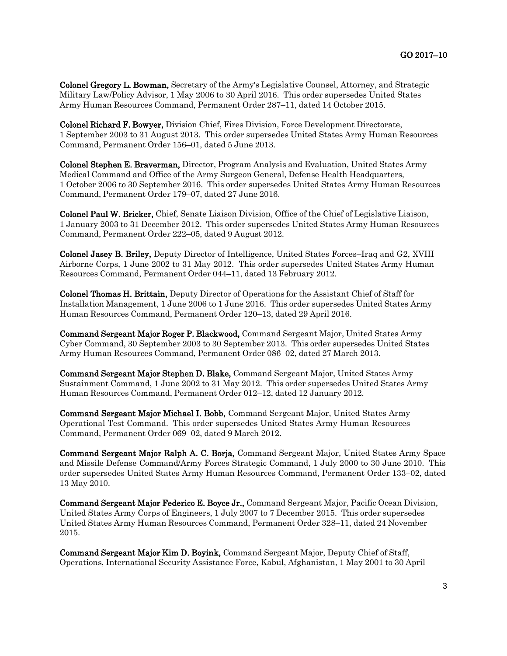Colonel Gregory L. Bowman, Secretary of the Army's Legislative Counsel, Attorney, and Strategic Military Law/Policy Advisor, 1 May 2006 to 30 April 2016. This order supersedes United States Army Human Resources Command, Permanent Order 287–11, dated 14 October 2015.

Colonel Richard F. Bowyer, Division Chief, Fires Division, Force Development Directorate, 1 September 2003 to 31 August 2013. This order supersedes United States Army Human Resources Command, Permanent Order 156–01, dated 5 June 2013.

Colonel Stephen E. Braverman, Director, Program Analysis and Evaluation, United States Army Medical Command and Office of the Army Surgeon General, Defense Health Headquarters, 1 October 2006 to 30 September 2016. This order supersedes United States Army Human Resources Command, Permanent Order 179–07, dated 27 June 2016.

Colonel Paul W. Bricker, Chief, Senate Liaison Division, Office of the Chief of Legislative Liaison, 1 January 2003 to 31 December 2012. This order supersedes United States Army Human Resources Command, Permanent Order 222–05, dated 9 August 2012.

Colonel Jasey B. Briley, Deputy Director of Intelligence, United States Forces–Iraq and G2, XVIII Airborne Corps, 1 June 2002 to 31 May 2012. This order supersedes United States Army Human Resources Command, Permanent Order 044–11, dated 13 February 2012.

Colonel Thomas H. Brittain, Deputy Director of Operations for the Assistant Chief of Staff for Installation Management, 1 June 2006 to 1 June 2016. This order supersedes United States Army Human Resources Command, Permanent Order 120–13, dated 29 April 2016.

Command Sergeant Major Roger P. Blackwood, Command Sergeant Major, United States Army Cyber Command, 30 September 2003 to 30 September 2013. This order supersedes United States Army Human Resources Command, Permanent Order 086–02, dated 27 March 2013.

Command Sergeant Major Stephen D. Blake, Command Sergeant Major, United States Army Sustainment Command, 1 June 2002 to 31 May 2012. This order supersedes United States Army Human Resources Command, Permanent Order 012–12, dated 12 January 2012.

Command Sergeant Major Michael I. Bobb, Command Sergeant Major, United States Army Operational Test Command. This order supersedes United States Army Human Resources Command, Permanent Order 069–02, dated 9 March 2012.

Command Sergeant Major Ralph A. C. Borja, Command Sergeant Major, United States Army Space and Missile Defense Command/Army Forces Strategic Command, 1 July 2000 to 30 June 2010. This order supersedes United States Army Human Resources Command, Permanent Order 133–02, dated 13 May 2010.

Command Sergeant Major Federico E. Boyce Jr., Command Sergeant Major, Pacific Ocean Division, United States Army Corps of Engineers, 1 July 2007 to 7 December 2015. This order supersedes United States Army Human Resources Command, Permanent Order 328–11, dated 24 November 2015.

Command Sergeant Major Kim D. Boyink, Command Sergeant Major, Deputy Chief of Staff, Operations, International Security Assistance Force, Kabul, Afghanistan, 1 May 2001 to 30 April